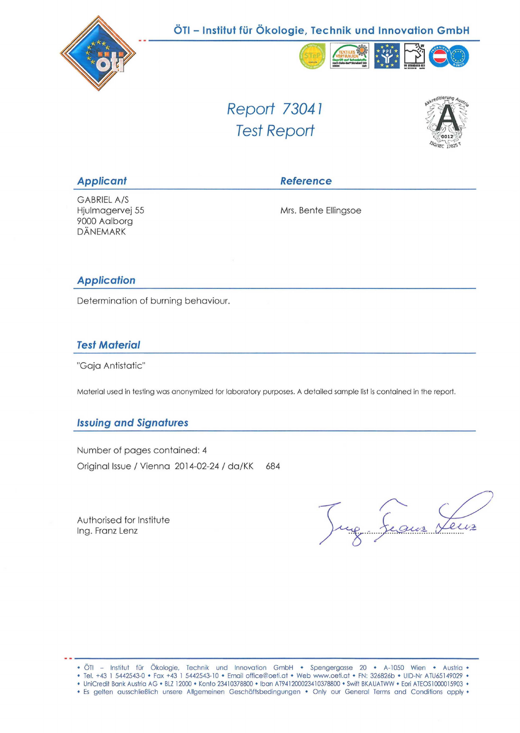

# **ÖTI - Institut für Ökologie, Technik und Innovation GmbH**



Report 73041 Test Report



Applicant **Reference** 

GABRIELA/S Hjulmagervej 55 9000 Aalborg DÄNEMARK

Mrs. Benfe Ellingsoe

### **Application**

Determination of burning behaviour.

### **Test Material**

"Gaja Antistatic"

Material used in testing was anonymized for laboratory purposes. A detailed sample list is contained in the report.

# **Issuing and Signatures**

Number of pages contained: 4 Original Issue / Vienna 2014-02-24 / da/KK 684

Authorised for Institute Ing. Franz Lenz

 $2112$ 

- Tel. +43 1 5442543-0 Fax +43 1 5442543-10 Email office@oeti.at Web www.oeti.at FN: 326826b UID-Nr ATU65149029 •
- UniCredit Bank Austria AG BLZ 12000 Konto 23410378800 Iban AT941200023410378800 Swift BKAUATWW Eori ATEOS1000015903 • Es gelten ausschließlich unsere Allgemeinen Geschäftsbedingungen • Only our General Terms and Conditions apply •
	-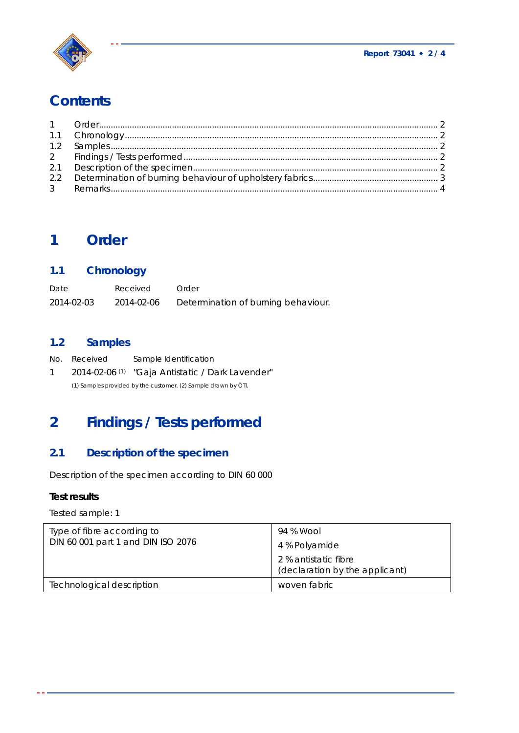

# **Contents**

| 1.2 Samples 2 |  |
|---------------|--|
|               |  |
|               |  |
|               |  |
|               |  |

# **1 Order**

# **1.1 Chronology**

| Date       | Received   | Order                               |
|------------|------------|-------------------------------------|
| 2014-02-03 | 2014-02-06 | Determination of burning behaviour. |

# **1.2 Samples**

|              | <i>No. Received</i> | Sample Identification                                          |
|--------------|---------------------|----------------------------------------------------------------|
| $\mathbf{1}$ |                     | 2014-02-06 <sup>(1)</sup> "Gaja Antistatic / Dark Lavender"    |
|              |                     | (1) Samples provided by the customer. (2) Sample drawn by ÖTI. |

# **2 Findings / Tests performed**

# **2.1 Description of the specimen**

Description of the specimen according to DIN 60 000

### **Test results**

Tested sample: 1

| Type of fibre according to<br>DIN 60 001 part 1 and DIN ISO 2076 | 94 % Wool<br>4 % Polyamide<br>2 % antistatic fibre<br>(declaration by the applicant) |
|------------------------------------------------------------------|--------------------------------------------------------------------------------------|
| Technological description                                        | woven fabric                                                                         |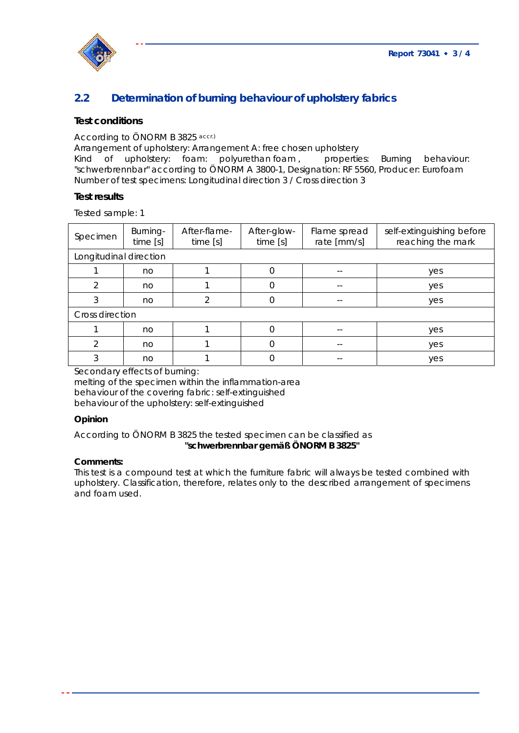

# **2.2 Determination of burning behaviour of upholstery fabrics**

#### **Test conditions**

#### According to ÖNORM B 3825 accr.)

Arrangement of upholstery: Arrangement A: free chosen upholstery

Kind of upholstery: foam: polyurethan foam, properties: Burning behaviour: "schwerbrennbar" according to ÖNORM A 3800-1, Designation: RF 5560, Producer: Eurofoam Number of test specimens: Longitudinal direction 3 / Cross direction 3

#### **Test results**

Tested sample: 1

| Specimen               | Burning-<br>time [s] | After-flame-<br>time [s] | After-glow-<br>time [s] | Flame spread<br>rate [mm/s] | self-extinguishing before<br>reaching the mark |  |  |  |
|------------------------|----------------------|--------------------------|-------------------------|-----------------------------|------------------------------------------------|--|--|--|
| Longitudinal direction |                      |                          |                         |                             |                                                |  |  |  |
|                        | no                   |                          | 0                       | $- -$                       | yes                                            |  |  |  |
| $\mathcal{P}$          | no                   |                          | O                       |                             | yes                                            |  |  |  |
| 3                      | no                   | 2                        | 0                       | $- -$                       | yes                                            |  |  |  |
| Cross direction        |                      |                          |                         |                             |                                                |  |  |  |
|                        | no                   |                          |                         |                             | yes                                            |  |  |  |
| 2                      | no                   |                          | $\Omega$                | $- -$                       | yes                                            |  |  |  |
| 3                      | no                   |                          | O                       | $- -$                       | yes                                            |  |  |  |
|                        |                      |                          |                         |                             |                                                |  |  |  |

Secondary effects of burning:

melting of the specimen within the inflammation-area behaviour of the covering fabric: self-extinguished behaviour of the upholstery: self-extinguished

#### **Opinion**

### According to ÖNORM B 3825 the tested specimen can be classified as **"schwerbrennbar gemäß ÖNORM B 3825"**

#### **Comments:**

This test is a compound test at which the furniture fabric will always be tested combined with upholstery. Classification, therefore, relates only to the described arrangement of specimens and foam used.